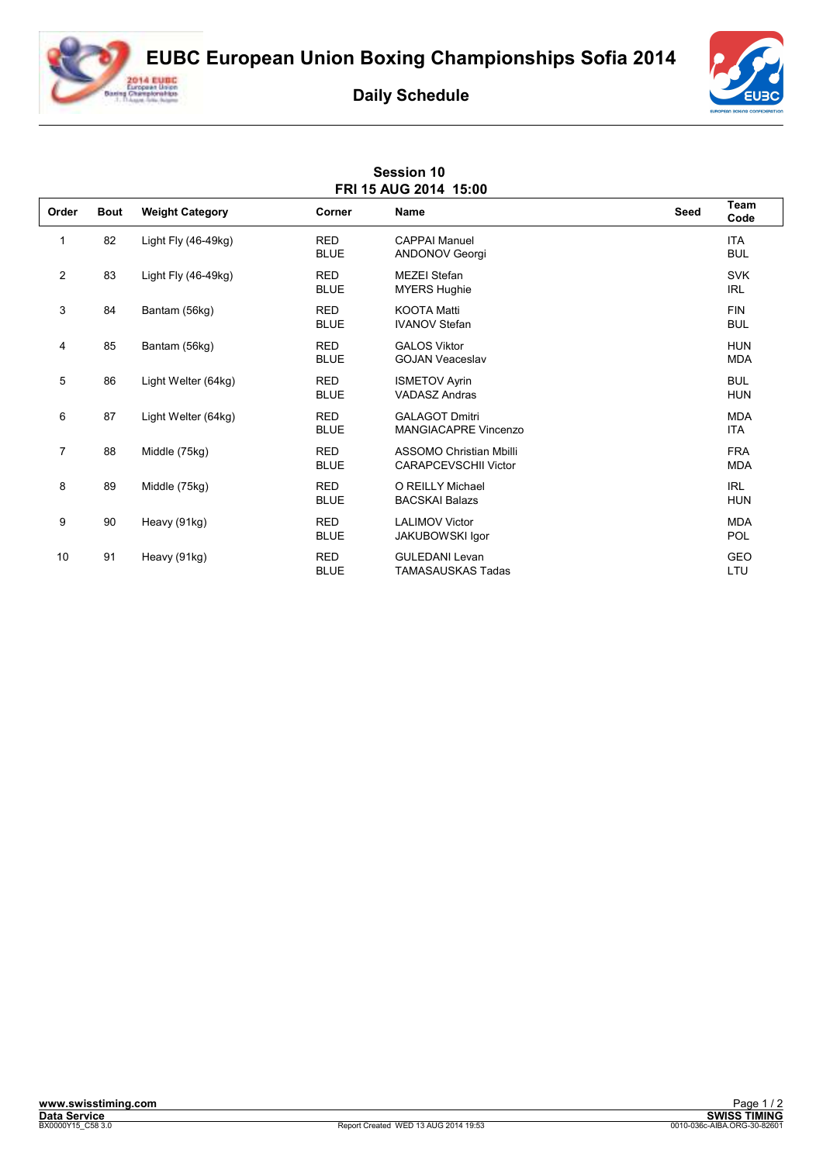**EUBC European Union Boxing Championships Sofia 2014**



## **Daily Schedule**

**Session 10** 



| FRI 15 AUG 2014 15:00 |             |                        |                           |                                                               |      |                          |  |  |  |  |
|-----------------------|-------------|------------------------|---------------------------|---------------------------------------------------------------|------|--------------------------|--|--|--|--|
| Order                 | <b>Bout</b> | <b>Weight Category</b> | <b>Corner</b>             | <b>Name</b>                                                   | Seed | Team<br>Code             |  |  |  |  |
| 1                     | 82          | Light Fly (46-49kg)    | <b>RED</b><br><b>BLUE</b> | <b>CAPPAI Manuel</b><br><b>ANDONOV Georgi</b>                 |      | <b>ITA</b><br><b>BUL</b> |  |  |  |  |
| $\overline{2}$        | 83          | Light Fly (46-49kg)    | <b>RED</b><br><b>BLUE</b> | <b>MEZEI Stefan</b><br><b>MYERS Hughie</b>                    |      | <b>SVK</b><br><b>IRL</b> |  |  |  |  |
| 3                     | 84          | Bantam (56kg)          | <b>RED</b><br><b>BLUE</b> | <b>KOOTA Matti</b><br><b>IVANOV Stefan</b>                    |      | <b>FIN</b><br><b>BUL</b> |  |  |  |  |
| 4                     | 85          | Bantam (56kg)          | <b>RED</b><br><b>BLUE</b> | <b>GALOS Viktor</b><br><b>GOJAN Veaceslav</b>                 |      | <b>HUN</b><br><b>MDA</b> |  |  |  |  |
| 5                     | 86          | Light Welter (64kg)    | <b>RED</b><br><b>BLUE</b> | <b>ISMETOV Ayrin</b><br><b>VADASZ Andras</b>                  |      | <b>BUL</b><br><b>HUN</b> |  |  |  |  |
| 6                     | 87          | Light Welter (64kg)    | <b>RED</b><br><b>BLUE</b> | <b>GALAGOT Dmitri</b><br><b>MANGIACAPRE Vincenzo</b>          |      | <b>MDA</b><br><b>ITA</b> |  |  |  |  |
| $\overline{7}$        | 88          | Middle (75kg)          | <b>RED</b><br><b>BLUE</b> | <b>ASSOMO Christian Mbilli</b><br><b>CARAPCEVSCHII Victor</b> |      | <b>FRA</b><br><b>MDA</b> |  |  |  |  |
| 8                     | 89          | Middle (75kg)          | <b>RED</b><br><b>BLUE</b> | O REILLY Michael<br><b>BACSKAI Balazs</b>                     |      | <b>IRL</b><br><b>HUN</b> |  |  |  |  |
| 9                     | 90          | Heavy (91kg)           | <b>RED</b><br><b>BLUE</b> | <b>LALIMOV Victor</b><br><b>JAKUBOWSKI Igor</b>               |      | <b>MDA</b><br>POL        |  |  |  |  |
| 10                    | 91          | Heavy (91kg)           | <b>RED</b><br><b>BLUE</b> | <b>GULEDANI Levan</b><br>TAMASAUSKAS Tadas                    |      | <b>GEO</b><br>LTU        |  |  |  |  |